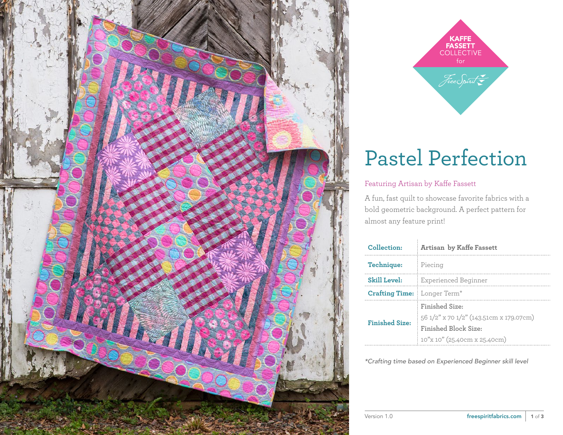



## Pastel Perfection

#### Featuring Artisan by Kaffe Fassett

A fun, fast quilt to showcase favorite fabrics with a bold geometric background. A perfect pattern for almost any feature print!

| Collection:           | <b>Artisan by Kaffe Fassett</b>         |
|-----------------------|-----------------------------------------|
| Technique:            | Piecing                                 |
| <b>Skill Level:</b>   | Experienced Beginner                    |
| <b>Crafting Time:</b> | Longer Term <sup>*</sup>                |
| <b>Finished Size:</b> | Finished Size:                          |
|                       | 56 1/2" x 70 1/2" (143.51cm x 179.07cm) |
|                       | Finished Block Size:                    |
|                       | 10"x 10" (25.40cm x 25.40cm)            |

*\*Crafting time based on Experienced Beginner skill level*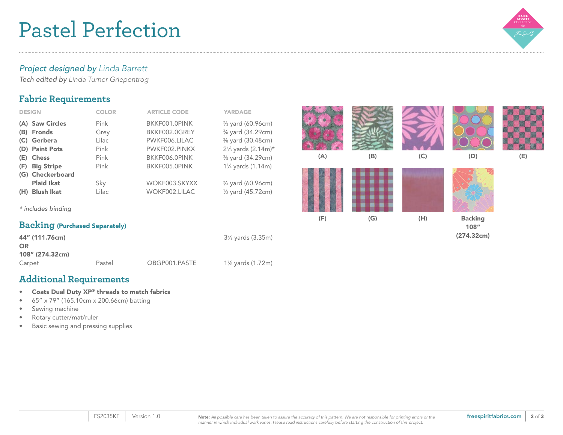## Pastel Perfection



#### *Project designed by Linda Barrett*

*Tech edited by Linda Turner Griepentrog* 

### **Fabric Requirements**

| <b>DESIGN</b>            | <b>COLOR</b> | <b>ARTICLE CODE</b> | <b>YARDAGE</b>                   |
|--------------------------|--------------|---------------------|----------------------------------|
| (A) Saw Circles          | Pink         | BKKF001.0PINK       | $\frac{2}{3}$ yard (60.96cm)     |
| <b>Fronds</b><br>(B)     | Grey         | BKKF002.0GREY       | 3/8 yard (34.29cm)               |
| Gerbera<br>(C)           | Lilac        | PWKF006.LILAC       | 3/8 yard (30.48cm)               |
| (D) Paint Pots           | Pink         | PWKF002.PINKX       | $2\frac{1}{3}$ yards $(2.14m)^*$ |
| <b>Chess</b><br>(E)      | Pink         | BKKF006.0PINK       | 3/8 yard (34.29cm)               |
| <b>Big Stripe</b><br>(F) | Pink         | BKKF005.0PINK       | 11/4 yards (1.14m)               |
| (G) Checkerboard         |              |                     |                                  |
| <b>Plaid Ikat</b>        | Sky          | WOKF003.SKYXX       | $\frac{2}{3}$ yard (60.96cm)     |
| <b>Blush Ikat</b><br>(H) | Lilac        | WOKF002.LILAC       | $\frac{1}{2}$ yard (45.72cm)     |
|                          |              |                     |                                  |
| * includes binding       |              |                     |                                  |

### **Backing** (Purchased Separately)

| 44" (111.76cm)<br>OR |        |               | 3% yards (3.35m) |
|----------------------|--------|---------------|------------------|
| 108" (274.32cm)      |        |               |                  |
| Carpet               | Pastel | QBGP001.PASTE | 1% yards (1.72m) |

## **Additional Requirements**

- Coats Dual Duty XP® threads to match fabrics
- 65" x 79" (165.10cm x 200.66cm) batting
- Sewing machine
- Rotary cutter/mat/ruler
- Basic sewing and pressing supplies